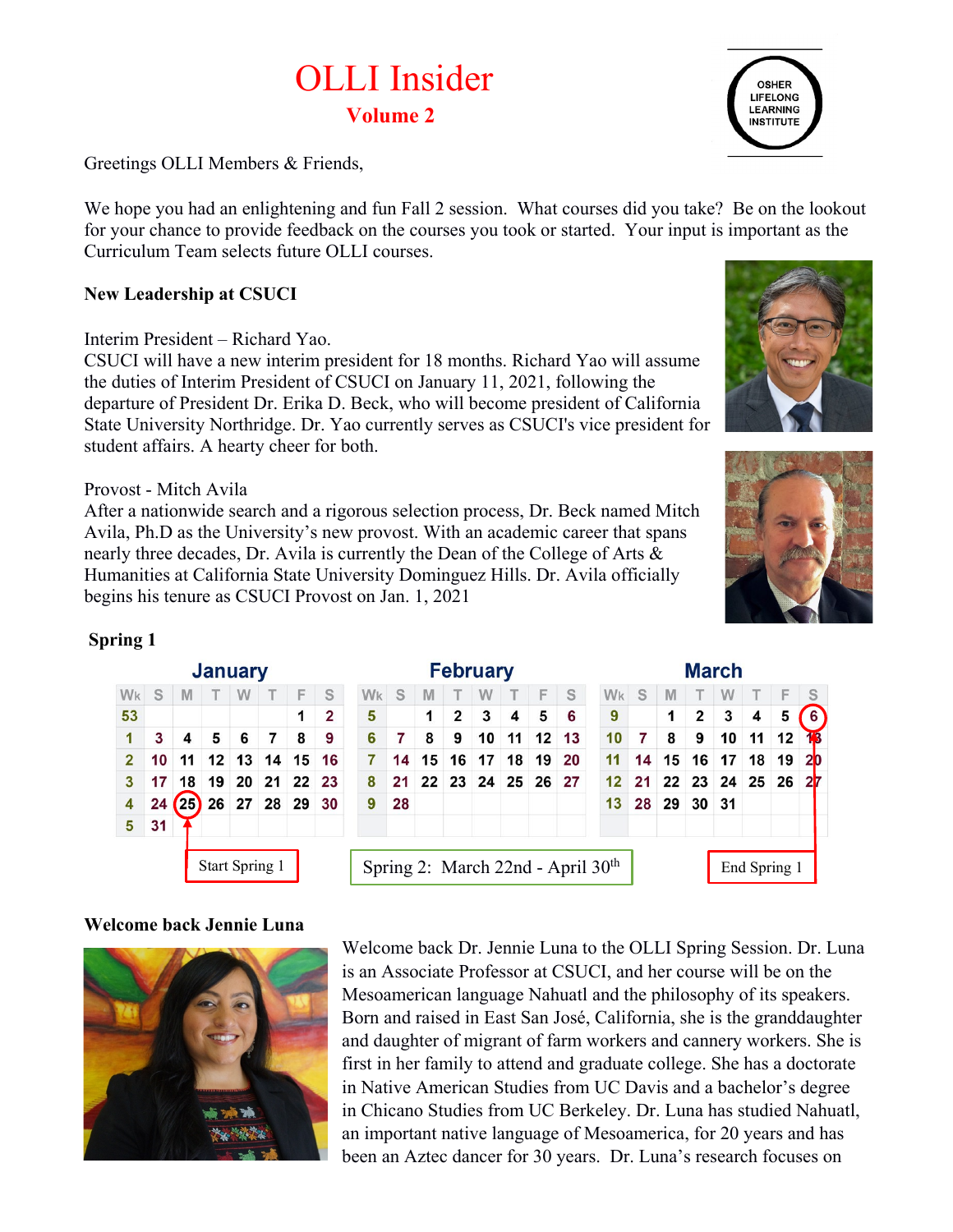# OLLI Insider **Volume 2**



Greetings OLLI Members & Friends,

We hope you had an enlightening and fun Fall 2 session. What courses did you take? Be on the lookout for your chance to provide feedback on the courses you took or started. Your input is important as the Curriculum Team selects future OLLI courses.

#### **New Leadership at CSUCI**

Interim President – Richard Yao.

CSUCI will have a new interim president for 18 months. Richard Yao will assume the duties of Interim President of CSUCI on January 11, 2021, following the departure of President Dr. Erika D. Beck, who will become president of California State University Northridge. Dr. Yao currently serves as CSUCI's vice president for student affairs. A hearty cheer for both.

Provost - Mitch Avila

After a nationwide search and a rigorous selection process, Dr. Beck named Mitch Avila, Ph.D as the University's new provost. With an academic career that spans nearly three decades, Dr. Avila is currently the Dean of the College of Arts & Humanities at California State University Dominguez Hills. Dr. Avila officially begins his tenure as CSUCI Provost on Jan. 1, 2021





March

#### **Spring 1**

|                |    |          | Vanaa y               |   |                        |   |                |  |
|----------------|----|----------|-----------------------|---|------------------------|---|----------------|--|
| Wk             | S. | <b>M</b> | T                     | W | т                      | F | S              |  |
| 53             |    |          |                       |   |                        | 1 | $\overline{2}$ |  |
| 1              | 3  | 4        | 5                     | 6 | 7                      | 8 | 9              |  |
| $\overline{2}$ | 10 |          |                       |   | 11 12 13 14 15         |   | 16             |  |
| 3              | 17 |          |                       |   | 18 19 20 21 22 23      |   |                |  |
| 4              |    |          |                       |   | 24 (25) 26 27 28 29 30 |   |                |  |
| 5              | 31 |          |                       |   |                        |   |                |  |
|                |    |          |                       |   |                        |   |                |  |
|                |    |          | <b>Start Spring 1</b> |   |                        |   |                |  |

**January** 

#### Fehruary

| vanaan y        |                 |                |          |    |                      |                 |                 |              | <b>I VIVI UUI Y</b> |    |    |    | waa vo                                        |    |             |                 |                   |              |    |                |
|-----------------|-----------------|----------------|----------|----|----------------------|-----------------|-----------------|--------------|---------------------|----|----|----|-----------------------------------------------|----|-------------|-----------------|-------------------|--------------|----|----------------|
|                 | W               |                | F        | S  | <b>W<sub>k</sub></b> | S               | M               |              | W                   |    | F  | S  | Wk                                            | S  | M           |                 | W                 |              |    | S              |
|                 |                 |                | 1        | 2  | 5                    |                 | 1               | $\mathbf{2}$ | 3                   | 4  | 5  | 6  | 9                                             |    |             | 2               | 3                 | 4            | 5  | $\overline{6}$ |
| 5               | 6               | 7              | 8        | 9  | 6                    | 7               | 8               | 9            | 10                  | 11 | 12 | 13 | 10                                            | 7  | 8           | 9               | 10                | 11           | 12 | 13             |
| 12 <sup>1</sup> | 13              | 14             | 15       | 16 | 7                    | 14              | 15 <sup>1</sup> | 16           | 17                  | 18 | 19 | 20 | 11                                            | 14 | 15          | 16 <sup>1</sup> | 17                | 18           | 19 | <b>20</b>      |
| 19              | 20              |                | 21 22 23 |    | 8                    | 21 <sup>1</sup> |                 |              | 22 23 24 25 26 27   |    |    |    | 12 <sup>1</sup>                               |    |             |                 | 21 22 23 24 25 26 |              |    | 27             |
| 26              | 27 <sup>1</sup> |                | 28 29 30 |    | 9                    | 28              |                 |              |                     |    |    |    | 13                                            |    | 28 29 30 31 |                 |                   |              |    |                |
|                 |                 |                |          |    |                      |                 |                 |              |                     |    |    |    |                                               |    |             |                 |                   |              |    |                |
|                 |                 | Start Spring 1 |          |    |                      |                 |                 |              |                     |    |    |    | Spring 2: March 22nd - April 30 <sup>th</sup> |    |             |                 |                   | End Spring 1 |    |                |

#### **Welcome back Jennie Luna**



Welcome back Dr. Jennie Luna to the OLLI Spring Session. Dr. Luna is an Associate Professor at CSUCI, and her course will be on the Mesoamerican language Nahuatl and the philosophy of its speakers. Born and raised in East San José, California, she is the granddaughter and daughter of migrant of farm workers and cannery workers. She is first in her family to attend and graduate college. She has a doctorate in Native American Studies from UC Davis and a bachelor's degree in Chicano Studies from UC Berkeley. Dr. Luna has studied Nahuatl, an important native language of Mesoamerica, for 20 years and has been an Aztec dancer for 30 years. Dr. Luna's research focuses on